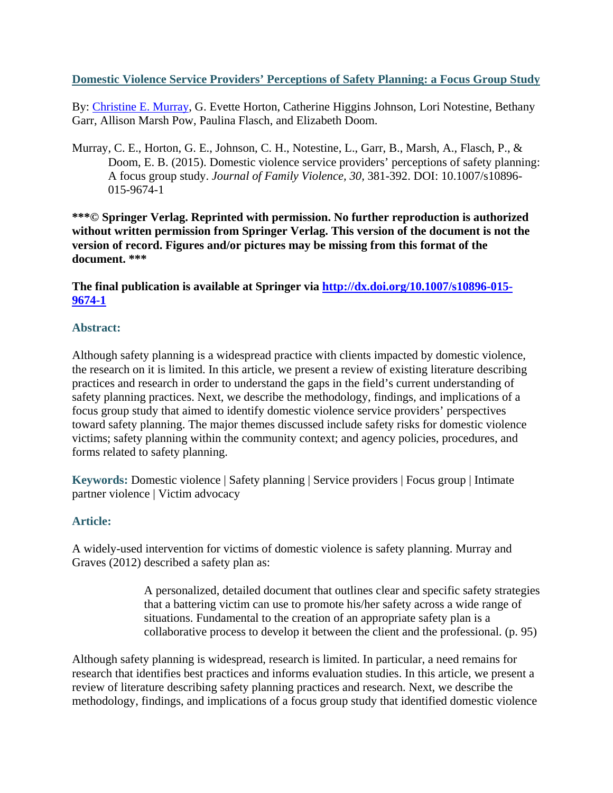# **Domestic Violence Service Providers' Perceptions of Safety Planning: a Focus Group Study**

By: Christine E. Murray, G. Evette Horton, Catherine Higgins Johnson, Lori Notestine, Bethany Garr, Allison Marsh Pow, Paulina Flasch, and Elizabeth Doom.

Murray, C. E., Horton, G. E., Johnson, C. H., Notestine, L., Garr, B., Marsh, A., Flasch, P., & Doom, E. B. (2015). Domestic violence service providers' perceptions of safety planning: A focus group study. *Journal of Family Violence, 30,* 381-392. DOI: 10.1007/s10896- 015-9674-1

**\*\*\*© Springer Verlag. Reprinted with permission. No further reproduction is authorized without written permission from Springer Verlag. This version of the document is not the version of record. Figures and/or pictures may be missing from this format of the document. \*\*\*** 

**The final publication is available at Springer via http://dx.doi.org/10.1007/s10896-015- 9674-1**

### **Abstract:**

Although safety planning is a widespread practice with clients impacted by domestic violence, the research on it is limited. In this article, we present a review of existing literature describing practices and research in order to understand the gaps in the field's current understanding of safety planning practices. Next, we describe the methodology, findings, and implications of a focus group study that aimed to identify domestic violence service providers' perspectives toward safety planning. The major themes discussed include safety risks for domestic violence victims; safety planning within the community context; and agency policies, procedures, and forms related to safety planning.

**Keywords:** Domestic violence | Safety planning | Service providers | Focus group | Intimate partner violence | Victim advocacy

# **Article:**

A widely-used intervention for victims of domestic violence is safety planning. Murray and Graves (2012) described a safety plan as:

> A personalized, detailed document that outlines clear and specific safety strategies that a battering victim can use to promote his/her safety across a wide range of situations. Fundamental to the creation of an appropriate safety plan is a collaborative process to develop it between the client and the professional. (p. 95)

Although safety planning is widespread, research is limited. In particular, a need remains for research that identifies best practices and informs evaluation studies. In this article, we present a review of literature describing safety planning practices and research. Next, we describe the methodology, findings, and implications of a focus group study that identified domestic violence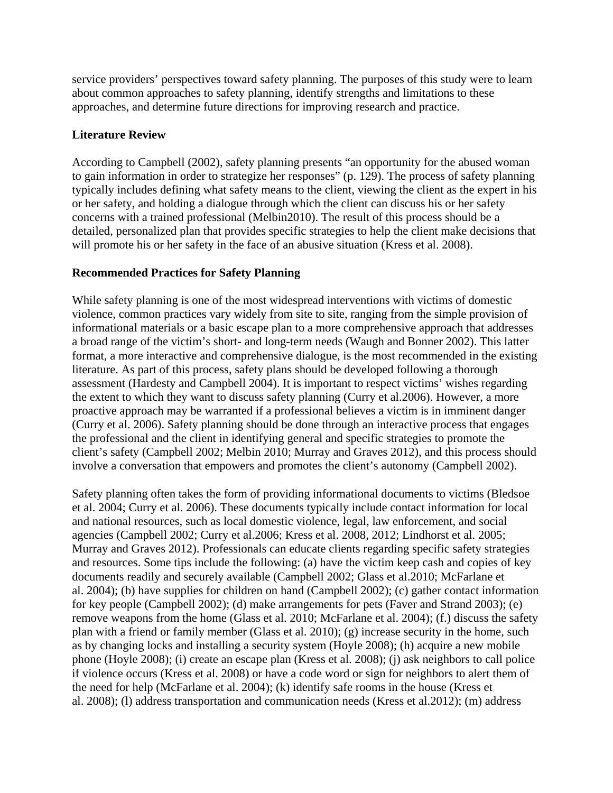service providers' perspectives toward safety planning. The purposes of this study were to learn about common approaches to safety planning, identify strengths and limitations to these approaches, and determine future directions for improving research and practice.

# **Literature Review**

According to Campbell (2002), safety planning presents "an opportunity for the abused woman to gain information in order to strategize her responses" (p. 129). The process of safety planning typically includes defining what safety means to the client, viewing the client as the expert in his or her safety, and holding a dialogue through which the client can discuss his or her safety concerns with a trained professional (Melbin2010). The result of this process should be a detailed, personalized plan that provides specific strategies to help the client make decisions that will promote his or her safety in the face of an abusive situation (Kress et al. 2008).

### **Recommended Practices for Safety Planning**

While safety planning is one of the most widespread interventions with victims of domestic violence, common practices vary widely from site to site, ranging from the simple provision of informational materials or a basic escape plan to a more comprehensive approach that addresses a broad range of the victim's short- and long-term needs (Waugh and Bonner 2002). This latter format, a more interactive and comprehensive dialogue, is the most recommended in the existing literature. As part of this process, safety plans should be developed following a thorough assessment (Hardesty and Campbell 2004). It is important to respect victims' wishes regarding the extent to which they want to discuss safety planning (Curry et al.2006). However, a more proactive approach may be warranted if a professional believes a victim is in imminent danger (Curry et al. 2006). Safety planning should be done through an interactive process that engages the professional and the client in identifying general and specific strategies to promote the client's safety (Campbell 2002; Melbin 2010; Murray and Graves 2012), and this process should involve a conversation that empowers and promotes the client's autonomy (Campbell 2002).

Safety planning often takes the form of providing informational documents to victims (Bledsoe et al. 2004; Curry et al. 2006). These documents typically include contact information for local and national resources, such as local domestic violence, legal, law enforcement, and social agencies (Campbell 2002; Curry et al.2006; Kress et al. 2008, 2012; Lindhorst et al. 2005; Murray and Graves 2012). Professionals can educate clients regarding specific safety strategies and resources. Some tips include the following: (a) have the victim keep cash and copies of key documents readily and securely available (Campbell 2002; Glass et al.2010; McFarlane et al. 2004); (b) have supplies for children on hand (Campbell 2002); (c) gather contact information for key people (Campbell 2002); (d) make arrangements for pets (Faver and Strand 2003); (e) remove weapons from the home (Glass et al. 2010; McFarlane et al. 2004); (f.) discuss the safety plan with a friend or family member (Glass et al. 2010); (g) increase security in the home, such as by changing locks and installing a security system (Hoyle 2008); (h) acquire a new mobile phone (Hoyle 2008); (i) create an escape plan (Kress et al. 2008); (j) ask neighbors to call police if violence occurs (Kress et al. 2008) or have a code word or sign for neighbors to alert them of the need for help (McFarlane et al. 2004); (k) identify safe rooms in the house (Kress et al. 2008); (l) address transportation and communication needs (Kress et al.2012); (m) address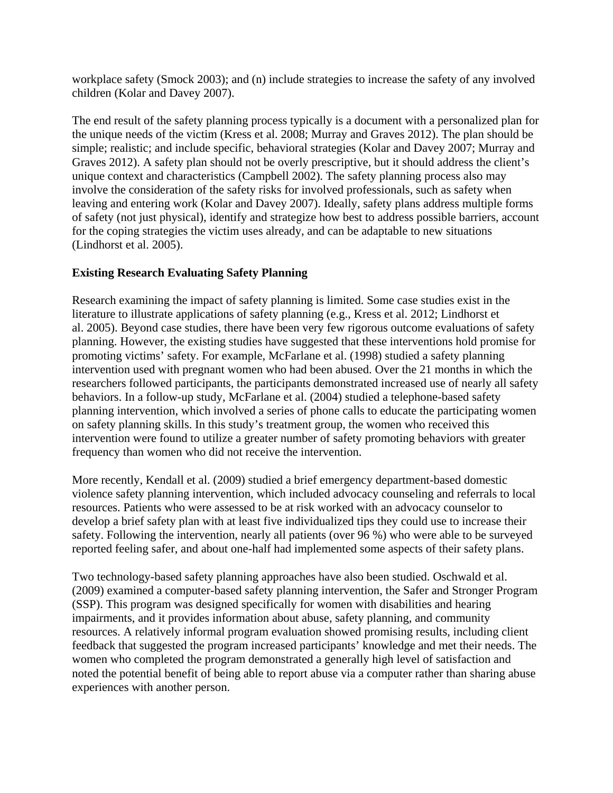workplace safety (Smock 2003); and (n) include strategies to increase the safety of any involved children (Kolar and Davey 2007).

The end result of the safety planning process typically is a document with a personalized plan for the unique needs of the victim (Kress et al. 2008; Murray and Graves 2012). The plan should be simple; realistic; and include specific, behavioral strategies (Kolar and Davey 2007; Murray and Graves 2012). A safety plan should not be overly prescriptive, but it should address the client's unique context and characteristics (Campbell 2002). The safety planning process also may involve the consideration of the safety risks for involved professionals, such as safety when leaving and entering work (Kolar and Davey 2007). Ideally, safety plans address multiple forms of safety (not just physical), identify and strategize how best to address possible barriers, account for the coping strategies the victim uses already, and can be adaptable to new situations (Lindhorst et al. 2005).

# **Existing Research Evaluating Safety Planning**

Research examining the impact of safety planning is limited. Some case studies exist in the literature to illustrate applications of safety planning (e.g., Kress et al. 2012; Lindhorst et al. 2005). Beyond case studies, there have been very few rigorous outcome evaluations of safety planning. However, the existing studies have suggested that these interventions hold promise for promoting victims' safety. For example, McFarlane et al. (1998) studied a safety planning intervention used with pregnant women who had been abused. Over the 21 months in which the researchers followed participants, the participants demonstrated increased use of nearly all safety behaviors. In a follow-up study, McFarlane et al. (2004) studied a telephone-based safety planning intervention, which involved a series of phone calls to educate the participating women on safety planning skills. In this study's treatment group, the women who received this intervention were found to utilize a greater number of safety promoting behaviors with greater frequency than women who did not receive the intervention.

More recently, Kendall et al. (2009) studied a brief emergency department-based domestic violence safety planning intervention, which included advocacy counseling and referrals to local resources. Patients who were assessed to be at risk worked with an advocacy counselor to develop a brief safety plan with at least five individualized tips they could use to increase their safety. Following the intervention, nearly all patients (over 96 %) who were able to be surveyed reported feeling safer, and about one-half had implemented some aspects of their safety plans.

Two technology-based safety planning approaches have also been studied. Oschwald et al. (2009) examined a computer-based safety planning intervention, the Safer and Stronger Program (SSP). This program was designed specifically for women with disabilities and hearing impairments, and it provides information about abuse, safety planning, and community resources. A relatively informal program evaluation showed promising results, including client feedback that suggested the program increased participants' knowledge and met their needs. The women who completed the program demonstrated a generally high level of satisfaction and noted the potential benefit of being able to report abuse via a computer rather than sharing abuse experiences with another person.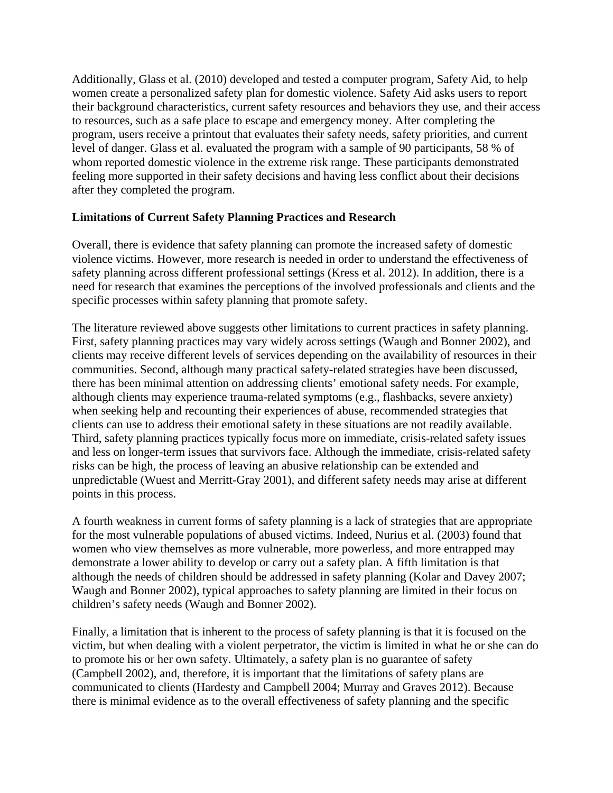Additionally, Glass et al. (2010) developed and tested a computer program, Safety Aid, to help women create a personalized safety plan for domestic violence. Safety Aid asks users to report their background characteristics, current safety resources and behaviors they use, and their access to resources, such as a safe place to escape and emergency money. After completing the program, users receive a printout that evaluates their safety needs, safety priorities, and current level of danger. Glass et al. evaluated the program with a sample of 90 participants, 58 % of whom reported domestic violence in the extreme risk range. These participants demonstrated feeling more supported in their safety decisions and having less conflict about their decisions after they completed the program.

# **Limitations of Current Safety Planning Practices and Research**

Overall, there is evidence that safety planning can promote the increased safety of domestic violence victims. However, more research is needed in order to understand the effectiveness of safety planning across different professional settings (Kress et al. 2012). In addition, there is a need for research that examines the perceptions of the involved professionals and clients and the specific processes within safety planning that promote safety.

The literature reviewed above suggests other limitations to current practices in safety planning. First, safety planning practices may vary widely across settings (Waugh and Bonner 2002), and clients may receive different levels of services depending on the availability of resources in their communities. Second, although many practical safety-related strategies have been discussed, there has been minimal attention on addressing clients' emotional safety needs. For example, although clients may experience trauma-related symptoms (e.g., flashbacks, severe anxiety) when seeking help and recounting their experiences of abuse, recommended strategies that clients can use to address their emotional safety in these situations are not readily available. Third, safety planning practices typically focus more on immediate, crisis-related safety issues and less on longer-term issues that survivors face. Although the immediate, crisis-related safety risks can be high, the process of leaving an abusive relationship can be extended and unpredictable (Wuest and Merritt-Gray 2001), and different safety needs may arise at different points in this process.

A fourth weakness in current forms of safety planning is a lack of strategies that are appropriate for the most vulnerable populations of abused victims. Indeed, Nurius et al. (2003) found that women who view themselves as more vulnerable, more powerless, and more entrapped may demonstrate a lower ability to develop or carry out a safety plan. A fifth limitation is that although the needs of children should be addressed in safety planning (Kolar and Davey 2007; Waugh and Bonner 2002), typical approaches to safety planning are limited in their focus on children's safety needs (Waugh and Bonner 2002).

Finally, a limitation that is inherent to the process of safety planning is that it is focused on the victim, but when dealing with a violent perpetrator, the victim is limited in what he or she can do to promote his or her own safety. Ultimately, a safety plan is no guarantee of safety (Campbell 2002), and, therefore, it is important that the limitations of safety plans are communicated to clients (Hardesty and Campbell 2004; Murray and Graves 2012). Because there is minimal evidence as to the overall effectiveness of safety planning and the specific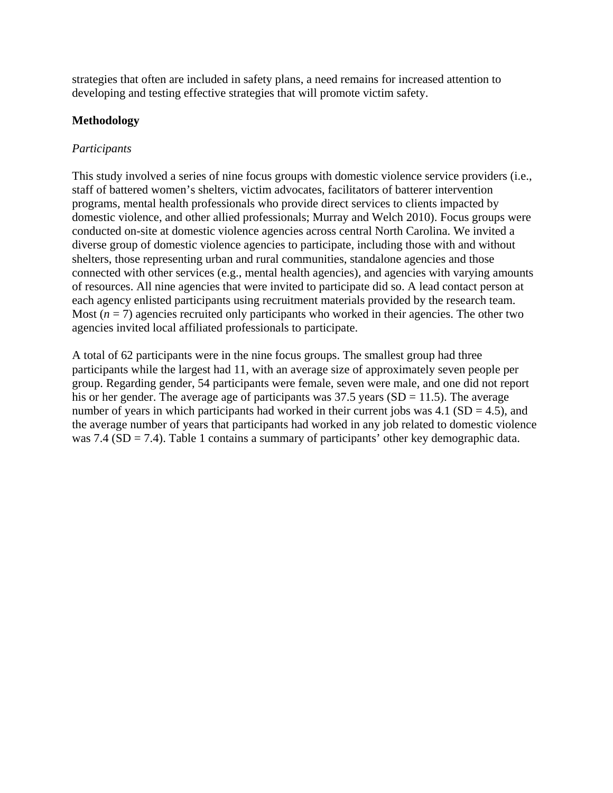strategies that often are included in safety plans, a need remains for increased attention to developing and testing effective strategies that will promote victim safety.

### **Methodology**

### *Participants*

This study involved a series of nine focus groups with domestic violence service providers (i.e., staff of battered women's shelters, victim advocates, facilitators of batterer intervention programs, mental health professionals who provide direct services to clients impacted by domestic violence, and other allied professionals; Murray and Welch 2010). Focus groups were conducted on-site at domestic violence agencies across central North Carolina. We invited a diverse group of domestic violence agencies to participate, including those with and without shelters, those representing urban and rural communities, standalone agencies and those connected with other services (e.g., mental health agencies), and agencies with varying amounts of resources. All nine agencies that were invited to participate did so. A lead contact person at each agency enlisted participants using recruitment materials provided by the research team. Most  $(n = 7)$  agencies recruited only participants who worked in their agencies. The other two agencies invited local affiliated professionals to participate.

A total of 62 participants were in the nine focus groups. The smallest group had three participants while the largest had 11, with an average size of approximately seven people per group. Regarding gender, 54 participants were female, seven were male, and one did not report his or her gender. The average age of participants was  $37.5$  years (SD = 11.5). The average number of years in which participants had worked in their current jobs was  $4.1$  (SD = 4.5), and the average number of years that participants had worked in any job related to domestic violence was 7.4 ( $SD = 7.4$ ). Table 1 contains a summary of participants' other key demographic data.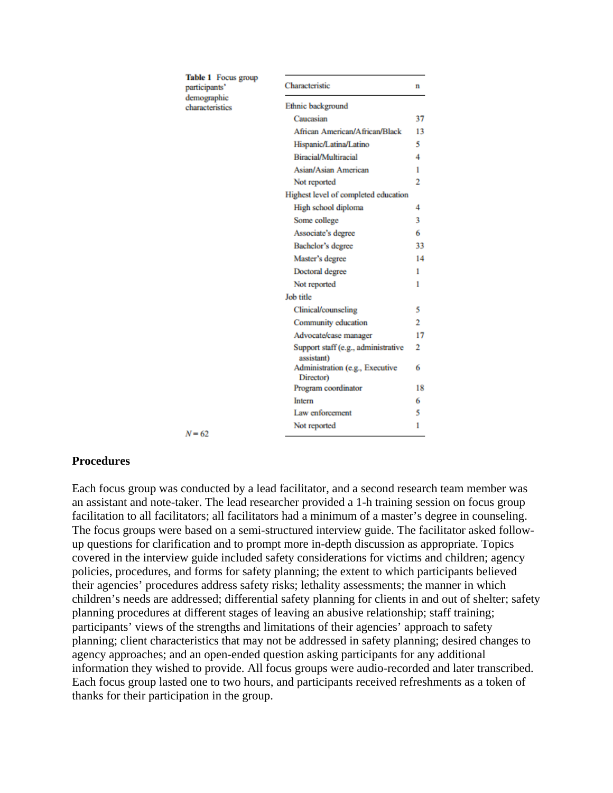| Table 1 Focus group<br>participants' | Characteristic                                    | n              |
|--------------------------------------|---------------------------------------------------|----------------|
| demographic<br>characteristics       | Ethnic background                                 |                |
|                                      | Caucasian                                         | 37             |
|                                      | <b>African American/African/Black</b>             | 13             |
|                                      | Hispanic/Latina/Latino                            | 5              |
|                                      | Biracial/Multiracial                              | 4              |
|                                      | Asian/Asian American                              | 1              |
|                                      | Not reported                                      | 2              |
|                                      | Highest level of completed education              |                |
|                                      | High school diploma                               | 4              |
|                                      | Some college                                      | 3              |
|                                      | Associate's degree                                | 6              |
|                                      | Bachelor's degree                                 | 33             |
|                                      | Master's degree                                   | 14             |
|                                      | Doctoral degree                                   | 1              |
|                                      | Not reported                                      | 1              |
|                                      | <b>Job title</b>                                  |                |
|                                      | Clinical/counseling                               | 5              |
|                                      | Community education                               | $\overline{2}$ |
|                                      | Advocate/case manager                             | 17             |
|                                      | Support staff (e.g., administrative<br>assistant) | 2              |
|                                      | Administration (e.g., Executive<br>Director)      | 6              |
|                                      | Program coordinator                               | 18             |
|                                      | Intern                                            | 6              |
|                                      | Law enforcement                                   | 5              |
| $N = 62$                             | Not reported                                      | 1              |

 $N = 62$ 

#### **Procedures**

Each focus group was conducted by a lead facilitator, and a second research team member was an assistant and note-taker. The lead researcher provided a 1-h training session on focus group facilitation to all facilitators; all facilitators had a minimum of a master's degree in counseling. The focus groups were based on a semi-structured interview guide. The facilitator asked followup questions for clarification and to prompt more in-depth discussion as appropriate. Topics covered in the interview guide included safety considerations for victims and children; agency policies, procedures, and forms for safety planning; the extent to which participants believed their agencies' procedures address safety risks; lethality assessments; the manner in which children's needs are addressed; differential safety planning for clients in and out of shelter; safety planning procedures at different stages of leaving an abusive relationship; staff training; participants' views of the strengths and limitations of their agencies' approach to safety planning; client characteristics that may not be addressed in safety planning; desired changes to agency approaches; and an open-ended question asking participants for any additional information they wished to provide. All focus groups were audio-recorded and later transcribed. Each focus group lasted one to two hours, and participants received refreshments as a token of thanks for their participation in the group.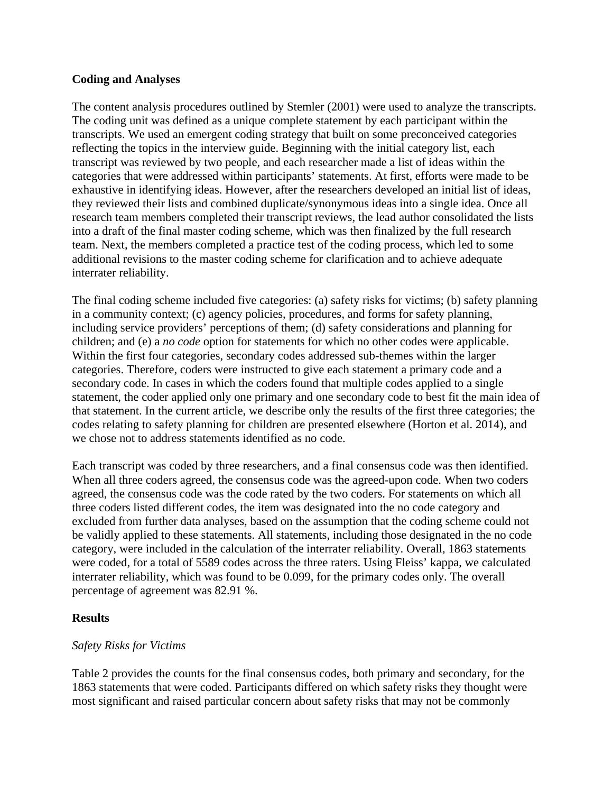#### **Coding and Analyses**

The content analysis procedures outlined by Stemler (2001) were used to analyze the transcripts. The coding unit was defined as a unique complete statement by each participant within the transcripts. We used an emergent coding strategy that built on some preconceived categories reflecting the topics in the interview guide. Beginning with the initial category list, each transcript was reviewed by two people, and each researcher made a list of ideas within the categories that were addressed within participants' statements. At first, efforts were made to be exhaustive in identifying ideas. However, after the researchers developed an initial list of ideas, they reviewed their lists and combined duplicate/synonymous ideas into a single idea. Once all research team members completed their transcript reviews, the lead author consolidated the lists into a draft of the final master coding scheme, which was then finalized by the full research team. Next, the members completed a practice test of the coding process, which led to some additional revisions to the master coding scheme for clarification and to achieve adequate interrater reliability.

The final coding scheme included five categories: (a) safety risks for victims; (b) safety planning in a community context; (c) agency policies, procedures, and forms for safety planning, including service providers' perceptions of them; (d) safety considerations and planning for children; and (e) a *no code* option for statements for which no other codes were applicable. Within the first four categories, secondary codes addressed sub-themes within the larger categories. Therefore, coders were instructed to give each statement a primary code and a secondary code. In cases in which the coders found that multiple codes applied to a single statement, the coder applied only one primary and one secondary code to best fit the main idea of that statement. In the current article, we describe only the results of the first three categories; the codes relating to safety planning for children are presented elsewhere (Horton et al. 2014), and we chose not to address statements identified as no code.

Each transcript was coded by three researchers, and a final consensus code was then identified. When all three coders agreed, the consensus code was the agreed-upon code. When two coders agreed, the consensus code was the code rated by the two coders. For statements on which all three coders listed different codes, the item was designated into the no code category and excluded from further data analyses, based on the assumption that the coding scheme could not be validly applied to these statements. All statements, including those designated in the no code category, were included in the calculation of the interrater reliability. Overall, 1863 statements were coded, for a total of 5589 codes across the three raters. Using Fleiss' kappa, we calculated interrater reliability, which was found to be 0.099, for the primary codes only. The overall percentage of agreement was 82.91 %.

#### **Results**

# *Safety Risks for Victims*

Table 2 provides the counts for the final consensus codes, both primary and secondary, for the 1863 statements that were coded. Participants differed on which safety risks they thought were most significant and raised particular concern about safety risks that may not be commonly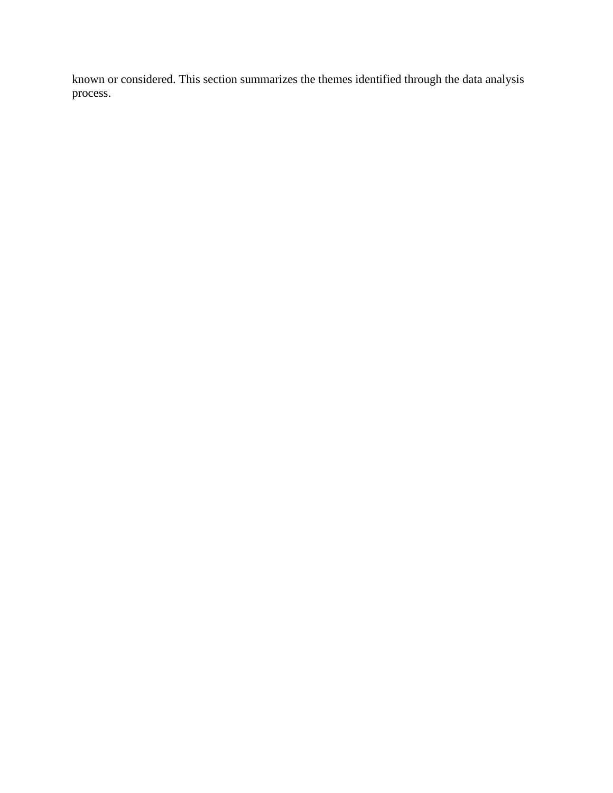known or considered. This section summarizes the themes identified through the data analysis process.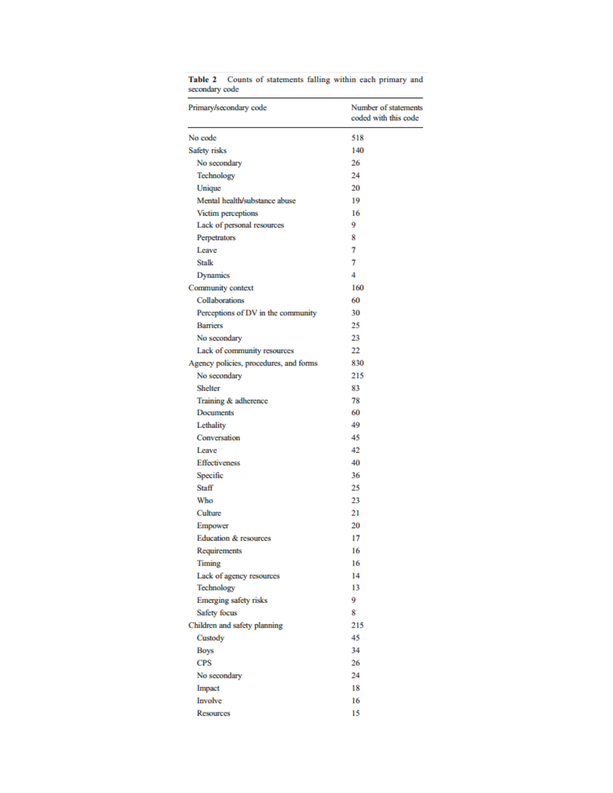| Primary/secondary code                 | Number of statements<br>coded with this code |
|----------------------------------------|----------------------------------------------|
| No code                                | 518                                          |
| Safety risks                           | 140                                          |
| No secondary                           | 26                                           |
| Technology                             | 24                                           |
| Unique                                 | 20                                           |
| Mental health/substance abuse          | 19                                           |
| Victim perceptions                     | 16                                           |
| Lack of personal resources             | 9                                            |
| Perpetrators                           | 8                                            |
| Leave                                  | 7                                            |
| <b>Stalk</b>                           | 7                                            |
| <b>Dynamics</b>                        | 4                                            |
| Community context                      | 160                                          |
| Collaborations                         | 60                                           |
| Perceptions of DV in the community     | 30                                           |
| <b>Barriers</b>                        | 25                                           |
| No secondary                           | 23                                           |
| Lack of community resources            | 22                                           |
| Agency policies, procedures, and forms | 830                                          |
| No secondary                           | 215                                          |
| <b>Shelter</b>                         | 83                                           |
| Training & adherence                   | 78                                           |
| <b>Documents</b>                       | 60                                           |
| Lethality                              | 49                                           |
| Conversation                           | 45                                           |
| Leave                                  | 42                                           |
| <b>Effectiveness</b>                   | 40                                           |
| Specific                               | 36                                           |
| <b>Staff</b>                           | 25                                           |
| Who                                    | 23                                           |
| Culture                                | 21                                           |
| Empower                                | 20                                           |
| <b>Education &amp; resources</b>       | 17                                           |
| Requirements                           | 16                                           |
| Timing                                 | 16                                           |
| Lack of agency resources               | 14                                           |
| Technology                             | 13                                           |
| Emerging safety risks                  | 9                                            |
| Safety focus                           | 8                                            |
| Children and safety planning           | 215                                          |
| Custody                                | 45                                           |
| Boys                                   | 34                                           |
| CPS                                    | 26                                           |
| No secondary                           | 24                                           |
| Impact                                 | 18                                           |
| Involve                                | 16                                           |
| Resources                              | 15                                           |

 ${\bf Table ~2} \quad {\bf Counts~ of~ statements~ falling~ within~ each primary~ and secondary code}$  $\overline{\phantom{0}}$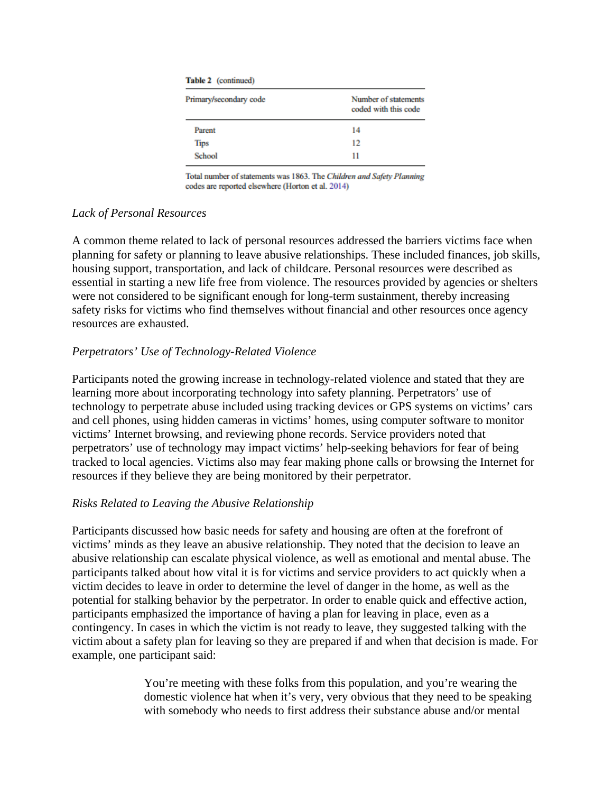| Table 2 (continued) |
|---------------------|
|                     |

| Primary/secondary code | Number of statements<br>coded with this code |
|------------------------|----------------------------------------------|
| Parent                 | 14                                           |
| <b>Tips</b>            | 12                                           |
| School                 | 11                                           |

Total number of statements was 1863. The Children and Safety Planning codes are reported elsewhere (Horton et al. 2014)

#### *Lack of Personal Resources*

A common theme related to lack of personal resources addressed the barriers victims face when planning for safety or planning to leave abusive relationships. These included finances, job skills, housing support, transportation, and lack of childcare. Personal resources were described as essential in starting a new life free from violence. The resources provided by agencies or shelters were not considered to be significant enough for long-term sustainment, thereby increasing safety risks for victims who find themselves without financial and other resources once agency resources are exhausted.

#### *Perpetrators' Use of Technology-Related Violence*

Participants noted the growing increase in technology-related violence and stated that they are learning more about incorporating technology into safety planning. Perpetrators' use of technology to perpetrate abuse included using tracking devices or GPS systems on victims' cars and cell phones, using hidden cameras in victims' homes, using computer software to monitor victims' Internet browsing, and reviewing phone records. Service providers noted that perpetrators' use of technology may impact victims' help-seeking behaviors for fear of being tracked to local agencies. Victims also may fear making phone calls or browsing the Internet for resources if they believe they are being monitored by their perpetrator.

#### *Risks Related to Leaving the Abusive Relationship*

Participants discussed how basic needs for safety and housing are often at the forefront of victims' minds as they leave an abusive relationship. They noted that the decision to leave an abusive relationship can escalate physical violence, as well as emotional and mental abuse. The participants talked about how vital it is for victims and service providers to act quickly when a victim decides to leave in order to determine the level of danger in the home, as well as the potential for stalking behavior by the perpetrator. In order to enable quick and effective action, participants emphasized the importance of having a plan for leaving in place, even as a contingency. In cases in which the victim is not ready to leave, they suggested talking with the victim about a safety plan for leaving so they are prepared if and when that decision is made. For example, one participant said:

> You're meeting with these folks from this population, and you're wearing the domestic violence hat when it's very, very obvious that they need to be speaking with somebody who needs to first address their substance abuse and/or mental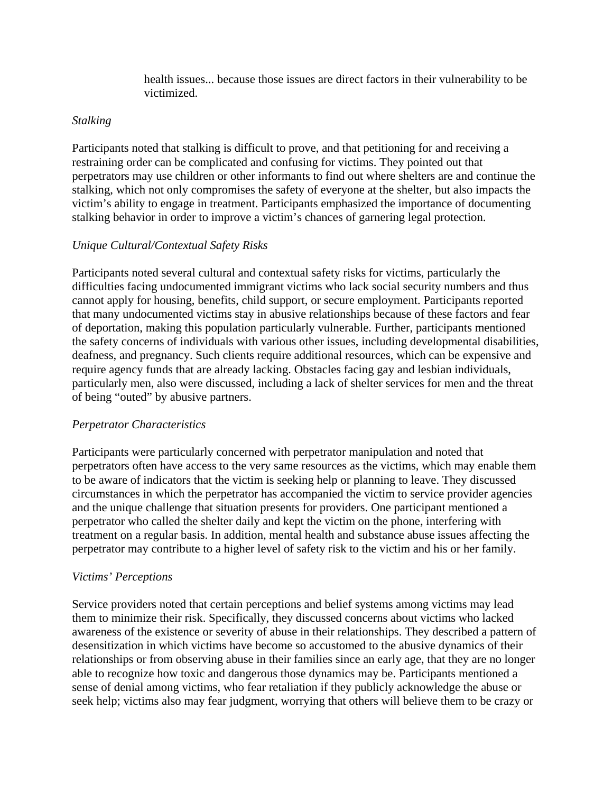health issues... because those issues are direct factors in their vulnerability to be victimized.

### *Stalking*

Participants noted that stalking is difficult to prove, and that petitioning for and receiving a restraining order can be complicated and confusing for victims. They pointed out that perpetrators may use children or other informants to find out where shelters are and continue the stalking, which not only compromises the safety of everyone at the shelter, but also impacts the victim's ability to engage in treatment. Participants emphasized the importance of documenting stalking behavior in order to improve a victim's chances of garnering legal protection.

# *Unique Cultural/Contextual Safety Risks*

Participants noted several cultural and contextual safety risks for victims, particularly the difficulties facing undocumented immigrant victims who lack social security numbers and thus cannot apply for housing, benefits, child support, or secure employment. Participants reported that many undocumented victims stay in abusive relationships because of these factors and fear of deportation, making this population particularly vulnerable. Further, participants mentioned the safety concerns of individuals with various other issues, including developmental disabilities, deafness, and pregnancy. Such clients require additional resources, which can be expensive and require agency funds that are already lacking. Obstacles facing gay and lesbian individuals, particularly men, also were discussed, including a lack of shelter services for men and the threat of being "outed" by abusive partners.

# *Perpetrator Characteristics*

Participants were particularly concerned with perpetrator manipulation and noted that perpetrators often have access to the very same resources as the victims, which may enable them to be aware of indicators that the victim is seeking help or planning to leave. They discussed circumstances in which the perpetrator has accompanied the victim to service provider agencies and the unique challenge that situation presents for providers. One participant mentioned a perpetrator who called the shelter daily and kept the victim on the phone, interfering with treatment on a regular basis. In addition, mental health and substance abuse issues affecting the perpetrator may contribute to a higher level of safety risk to the victim and his or her family.

# *Victims' Perceptions*

Service providers noted that certain perceptions and belief systems among victims may lead them to minimize their risk. Specifically, they discussed concerns about victims who lacked awareness of the existence or severity of abuse in their relationships. They described a pattern of desensitization in which victims have become so accustomed to the abusive dynamics of their relationships or from observing abuse in their families since an early age, that they are no longer able to recognize how toxic and dangerous those dynamics may be. Participants mentioned a sense of denial among victims, who fear retaliation if they publicly acknowledge the abuse or seek help; victims also may fear judgment, worrying that others will believe them to be crazy or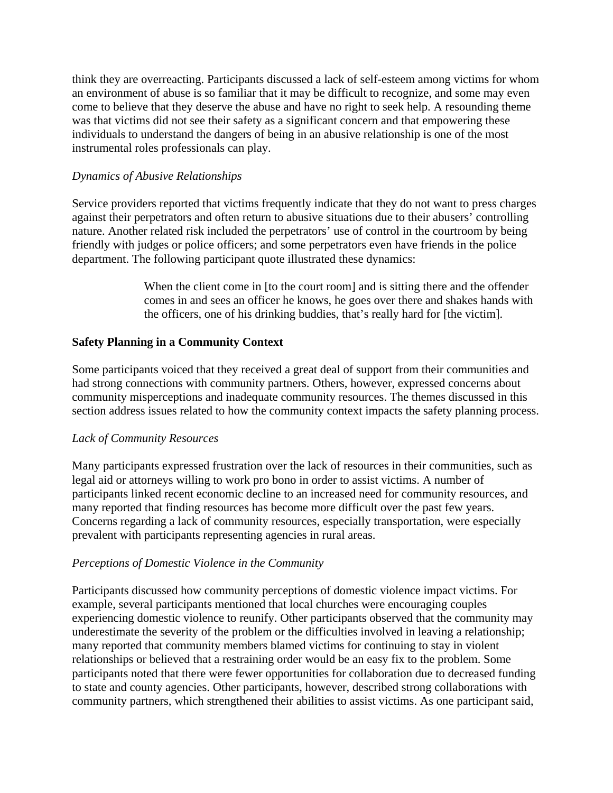think they are overreacting. Participants discussed a lack of self-esteem among victims for whom an environment of abuse is so familiar that it may be difficult to recognize, and some may even come to believe that they deserve the abuse and have no right to seek help. A resounding theme was that victims did not see their safety as a significant concern and that empowering these individuals to understand the dangers of being in an abusive relationship is one of the most instrumental roles professionals can play.

#### *Dynamics of Abusive Relationships*

Service providers reported that victims frequently indicate that they do not want to press charges against their perpetrators and often return to abusive situations due to their abusers' controlling nature. Another related risk included the perpetrators' use of control in the courtroom by being friendly with judges or police officers; and some perpetrators even have friends in the police department. The following participant quote illustrated these dynamics:

> When the client come in [to the court room] and is sitting there and the offender comes in and sees an officer he knows, he goes over there and shakes hands with the officers, one of his drinking buddies, that's really hard for [the victim].

### **Safety Planning in a Community Context**

Some participants voiced that they received a great deal of support from their communities and had strong connections with community partners. Others, however, expressed concerns about community misperceptions and inadequate community resources. The themes discussed in this section address issues related to how the community context impacts the safety planning process.

#### *Lack of Community Resources*

Many participants expressed frustration over the lack of resources in their communities, such as legal aid or attorneys willing to work pro bono in order to assist victims. A number of participants linked recent economic decline to an increased need for community resources, and many reported that finding resources has become more difficult over the past few years. Concerns regarding a lack of community resources, especially transportation, were especially prevalent with participants representing agencies in rural areas.

#### *Perceptions of Domestic Violence in the Community*

Participants discussed how community perceptions of domestic violence impact victims. For example, several participants mentioned that local churches were encouraging couples experiencing domestic violence to reunify. Other participants observed that the community may underestimate the severity of the problem or the difficulties involved in leaving a relationship; many reported that community members blamed victims for continuing to stay in violent relationships or believed that a restraining order would be an easy fix to the problem. Some participants noted that there were fewer opportunities for collaboration due to decreased funding to state and county agencies. Other participants, however, described strong collaborations with community partners, which strengthened their abilities to assist victims. As one participant said,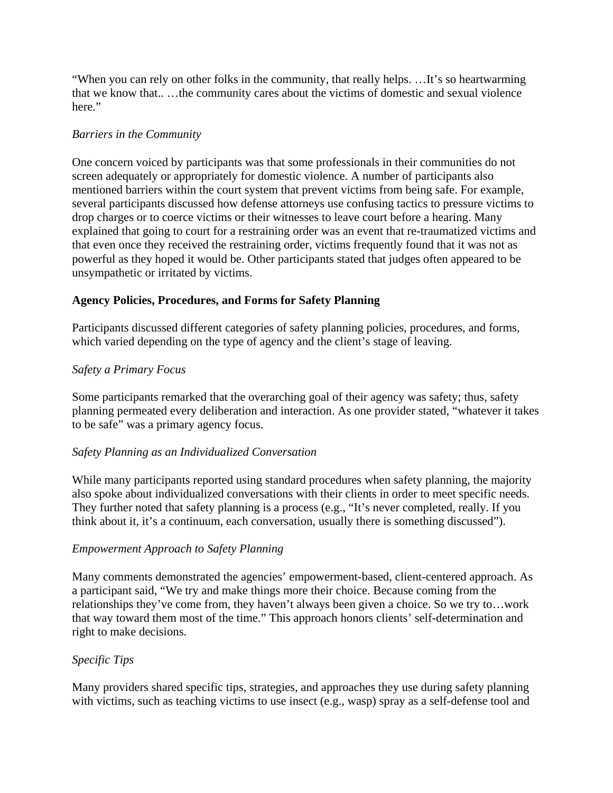"When you can rely on other folks in the community, that really helps. …It's so heartwarming that we know that.. …the community cares about the victims of domestic and sexual violence here."

### *Barriers in the Community*

One concern voiced by participants was that some professionals in their communities do not screen adequately or appropriately for domestic violence. A number of participants also mentioned barriers within the court system that prevent victims from being safe. For example, several participants discussed how defense attorneys use confusing tactics to pressure victims to drop charges or to coerce victims or their witnesses to leave court before a hearing. Many explained that going to court for a restraining order was an event that re-traumatized victims and that even once they received the restraining order, victims frequently found that it was not as powerful as they hoped it would be. Other participants stated that judges often appeared to be unsympathetic or irritated by victims.

# **Agency Policies, Procedures, and Forms for Safety Planning**

Participants discussed different categories of safety planning policies, procedures, and forms, which varied depending on the type of agency and the client's stage of leaving.

# *Safety a Primary Focus*

Some participants remarked that the overarching goal of their agency was safety; thus, safety planning permeated every deliberation and interaction. As one provider stated, "whatever it takes to be safe" was a primary agency focus.

# *Safety Planning as an Individualized Conversation*

While many participants reported using standard procedures when safety planning, the majority also spoke about individualized conversations with their clients in order to meet specific needs. They further noted that safety planning is a process (e.g., "It's never completed, really. If you think about it, it's a continuum, each conversation, usually there is something discussed").

# *Empowerment Approach to Safety Planning*

Many comments demonstrated the agencies' empowerment-based, client-centered approach. As a participant said, "We try and make things more their choice. Because coming from the relationships they've come from, they haven't always been given a choice. So we try to…work that way toward them most of the time." This approach honors clients' self-determination and right to make decisions.

# *Specific Tips*

Many providers shared specific tips, strategies, and approaches they use during safety planning with victims, such as teaching victims to use insect (e.g., wasp) spray as a self-defense tool and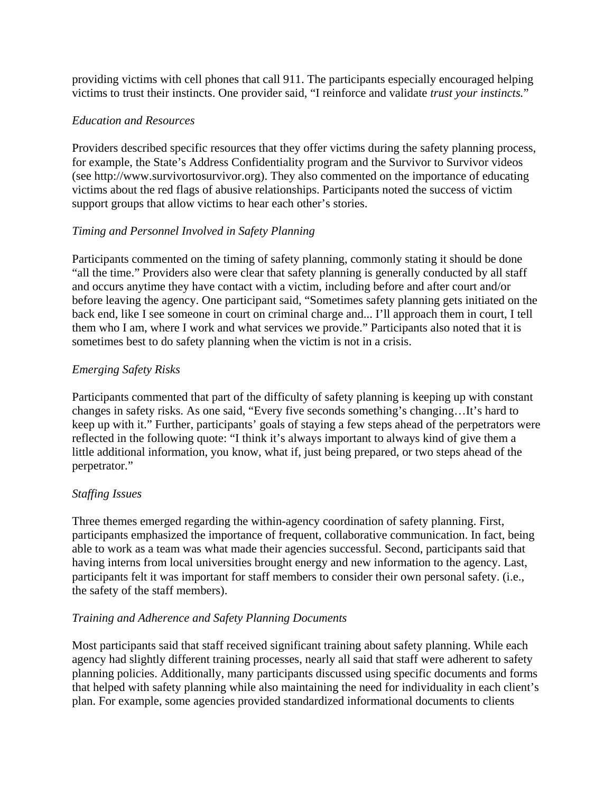providing victims with cell phones that call 911. The participants especially encouraged helping victims to trust their instincts. One provider said, "I reinforce and validate *trust your instincts.*"

### *Education and Resources*

Providers described specific resources that they offer victims during the safety planning process, for example, the State's Address Confidentiality program and the Survivor to Survivor videos (see http://www.survivortosurvivor.org). They also commented on the importance of educating victims about the red flags of abusive relationships. Participants noted the success of victim support groups that allow victims to hear each other's stories.

### *Timing and Personnel Involved in Safety Planning*

Participants commented on the timing of safety planning, commonly stating it should be done "all the time." Providers also were clear that safety planning is generally conducted by all staff and occurs anytime they have contact with a victim, including before and after court and/or before leaving the agency. One participant said, "Sometimes safety planning gets initiated on the back end, like I see someone in court on criminal charge and... I'll approach them in court, I tell them who I am, where I work and what services we provide." Participants also noted that it is sometimes best to do safety planning when the victim is not in a crisis.

### *Emerging Safety Risks*

Participants commented that part of the difficulty of safety planning is keeping up with constant changes in safety risks. As one said, "Every five seconds something's changing…It's hard to keep up with it." Further, participants' goals of staying a few steps ahead of the perpetrators were reflected in the following quote: "I think it's always important to always kind of give them a little additional information, you know, what if, just being prepared, or two steps ahead of the perpetrator."

# *Staffing Issues*

Three themes emerged regarding the within-agency coordination of safety planning. First, participants emphasized the importance of frequent, collaborative communication. In fact, being able to work as a team was what made their agencies successful. Second, participants said that having interns from local universities brought energy and new information to the agency. Last, participants felt it was important for staff members to consider their own personal safety. (i.e., the safety of the staff members).

#### *Training and Adherence and Safety Planning Documents*

Most participants said that staff received significant training about safety planning. While each agency had slightly different training processes, nearly all said that staff were adherent to safety planning policies. Additionally, many participants discussed using specific documents and forms that helped with safety planning while also maintaining the need for individuality in each client's plan. For example, some agencies provided standardized informational documents to clients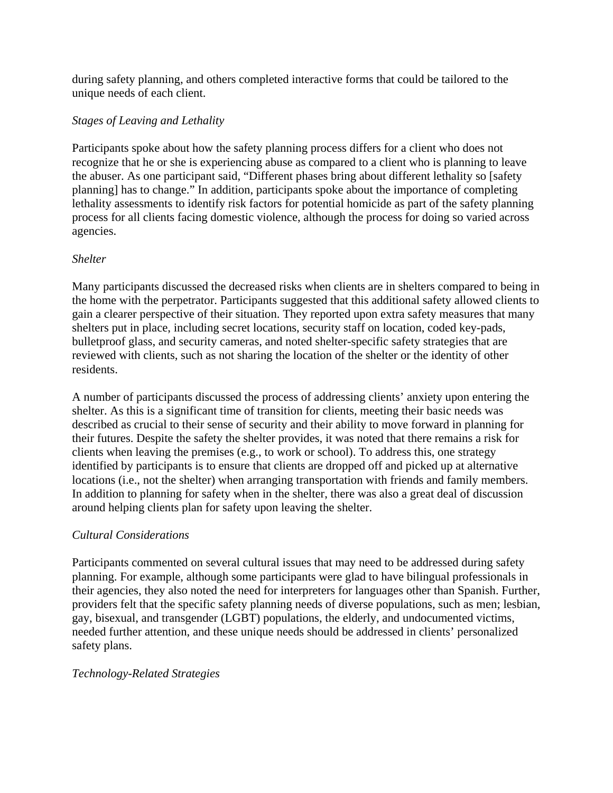during safety planning, and others completed interactive forms that could be tailored to the unique needs of each client.

### *Stages of Leaving and Lethality*

Participants spoke about how the safety planning process differs for a client who does not recognize that he or she is experiencing abuse as compared to a client who is planning to leave the abuser. As one participant said, "Different phases bring about different lethality so [safety planning] has to change." In addition, participants spoke about the importance of completing lethality assessments to identify risk factors for potential homicide as part of the safety planning process for all clients facing domestic violence, although the process for doing so varied across agencies.

### *Shelter*

Many participants discussed the decreased risks when clients are in shelters compared to being in the home with the perpetrator. Participants suggested that this additional safety allowed clients to gain a clearer perspective of their situation. They reported upon extra safety measures that many shelters put in place, including secret locations, security staff on location, coded key-pads, bulletproof glass, and security cameras, and noted shelter-specific safety strategies that are reviewed with clients, such as not sharing the location of the shelter or the identity of other residents.

A number of participants discussed the process of addressing clients' anxiety upon entering the shelter. As this is a significant time of transition for clients, meeting their basic needs was described as crucial to their sense of security and their ability to move forward in planning for their futures. Despite the safety the shelter provides, it was noted that there remains a risk for clients when leaving the premises (e.g., to work or school). To address this, one strategy identified by participants is to ensure that clients are dropped off and picked up at alternative locations (i.e., not the shelter) when arranging transportation with friends and family members. In addition to planning for safety when in the shelter, there was also a great deal of discussion around helping clients plan for safety upon leaving the shelter.

#### *Cultural Considerations*

Participants commented on several cultural issues that may need to be addressed during safety planning. For example, although some participants were glad to have bilingual professionals in their agencies, they also noted the need for interpreters for languages other than Spanish. Further, providers felt that the specific safety planning needs of diverse populations, such as men; lesbian, gay, bisexual, and transgender (LGBT) populations, the elderly, and undocumented victims, needed further attention, and these unique needs should be addressed in clients' personalized safety plans.

#### *Technology-Related Strategies*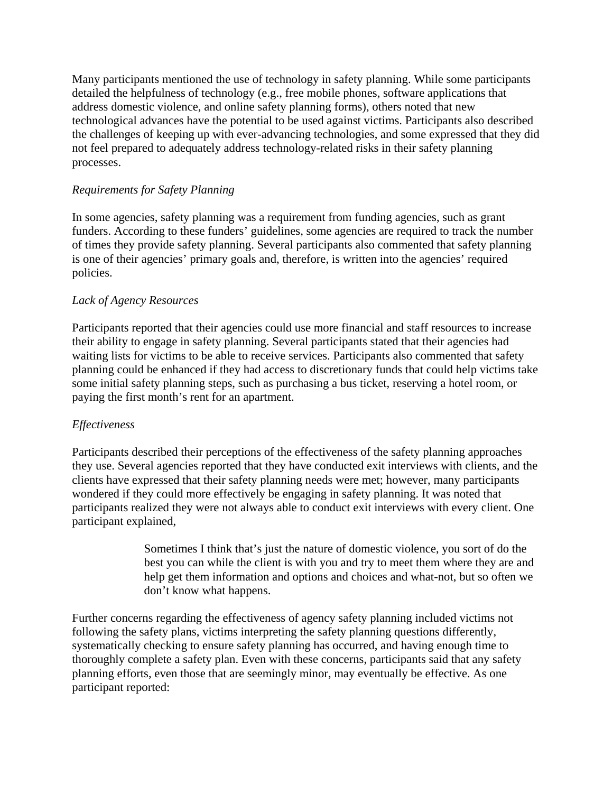Many participants mentioned the use of technology in safety planning. While some participants detailed the helpfulness of technology (e.g., free mobile phones, software applications that address domestic violence, and online safety planning forms), others noted that new technological advances have the potential to be used against victims. Participants also described the challenges of keeping up with ever-advancing technologies, and some expressed that they did not feel prepared to adequately address technology-related risks in their safety planning processes.

# *Requirements for Safety Planning*

In some agencies, safety planning was a requirement from funding agencies, such as grant funders. According to these funders' guidelines, some agencies are required to track the number of times they provide safety planning. Several participants also commented that safety planning is one of their agencies' primary goals and, therefore, is written into the agencies' required policies.

# *Lack of Agency Resources*

Participants reported that their agencies could use more financial and staff resources to increase their ability to engage in safety planning. Several participants stated that their agencies had waiting lists for victims to be able to receive services. Participants also commented that safety planning could be enhanced if they had access to discretionary funds that could help victims take some initial safety planning steps, such as purchasing a bus ticket, reserving a hotel room, or paying the first month's rent for an apartment.

# *Effectiveness*

Participants described their perceptions of the effectiveness of the safety planning approaches they use. Several agencies reported that they have conducted exit interviews with clients, and the clients have expressed that their safety planning needs were met; however, many participants wondered if they could more effectively be engaging in safety planning. It was noted that participants realized they were not always able to conduct exit interviews with every client. One participant explained,

> Sometimes I think that's just the nature of domestic violence, you sort of do the best you can while the client is with you and try to meet them where they are and help get them information and options and choices and what-not, but so often we don't know what happens.

Further concerns regarding the effectiveness of agency safety planning included victims not following the safety plans, victims interpreting the safety planning questions differently, systematically checking to ensure safety planning has occurred, and having enough time to thoroughly complete a safety plan. Even with these concerns, participants said that any safety planning efforts, even those that are seemingly minor, may eventually be effective. As one participant reported: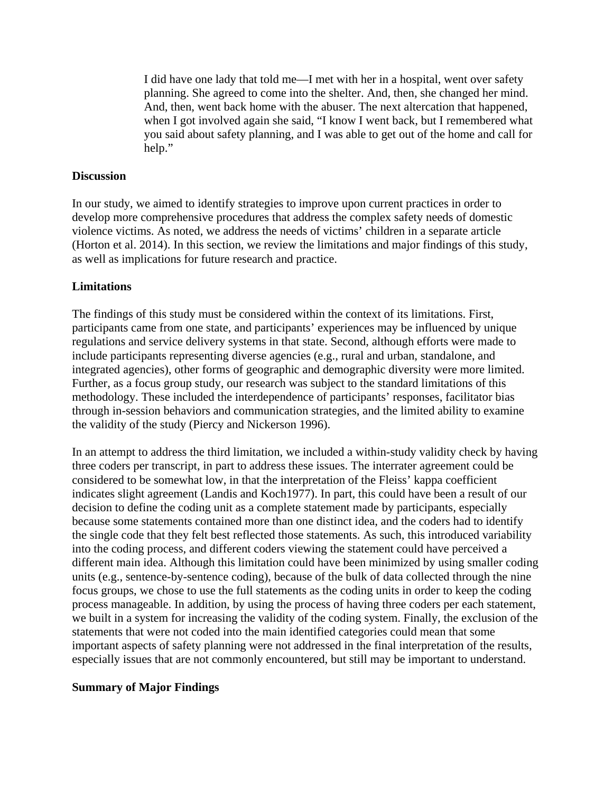I did have one lady that told me—I met with her in a hospital, went over safety planning. She agreed to come into the shelter. And, then, she changed her mind. And, then, went back home with the abuser. The next altercation that happened, when I got involved again she said, "I know I went back, but I remembered what you said about safety planning, and I was able to get out of the home and call for help."

#### **Discussion**

In our study, we aimed to identify strategies to improve upon current practices in order to develop more comprehensive procedures that address the complex safety needs of domestic violence victims. As noted, we address the needs of victims' children in a separate article (Horton et al. 2014). In this section, we review the limitations and major findings of this study, as well as implications for future research and practice.

#### **Limitations**

The findings of this study must be considered within the context of its limitations. First, participants came from one state, and participants' experiences may be influenced by unique regulations and service delivery systems in that state. Second, although efforts were made to include participants representing diverse agencies (e.g., rural and urban, standalone, and integrated agencies), other forms of geographic and demographic diversity were more limited. Further, as a focus group study, our research was subject to the standard limitations of this methodology. These included the interdependence of participants' responses, facilitator bias through in-session behaviors and communication strategies, and the limited ability to examine the validity of the study (Piercy and Nickerson 1996).

In an attempt to address the third limitation, we included a within-study validity check by having three coders per transcript, in part to address these issues. The interrater agreement could be considered to be somewhat low, in that the interpretation of the Fleiss' kappa coefficient indicates slight agreement (Landis and Koch1977). In part, this could have been a result of our decision to define the coding unit as a complete statement made by participants, especially because some statements contained more than one distinct idea, and the coders had to identify the single code that they felt best reflected those statements. As such, this introduced variability into the coding process, and different coders viewing the statement could have perceived a different main idea. Although this limitation could have been minimized by using smaller coding units (e.g., sentence-by-sentence coding), because of the bulk of data collected through the nine focus groups, we chose to use the full statements as the coding units in order to keep the coding process manageable. In addition, by using the process of having three coders per each statement, we built in a system for increasing the validity of the coding system. Finally, the exclusion of the statements that were not coded into the main identified categories could mean that some important aspects of safety planning were not addressed in the final interpretation of the results, especially issues that are not commonly encountered, but still may be important to understand.

#### **Summary of Major Findings**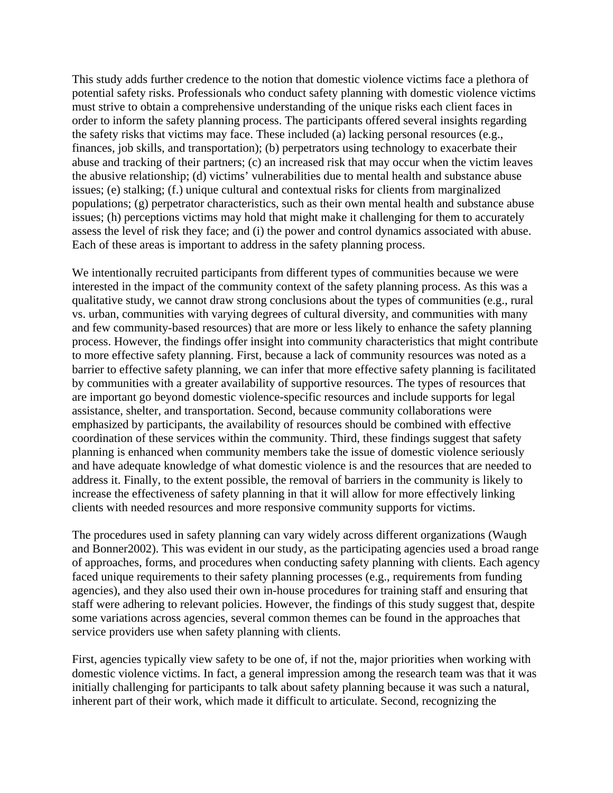This study adds further credence to the notion that domestic violence victims face a plethora of potential safety risks. Professionals who conduct safety planning with domestic violence victims must strive to obtain a comprehensive understanding of the unique risks each client faces in order to inform the safety planning process. The participants offered several insights regarding the safety risks that victims may face. These included (a) lacking personal resources (e.g., finances, job skills, and transportation); (b) perpetrators using technology to exacerbate their abuse and tracking of their partners; (c) an increased risk that may occur when the victim leaves the abusive relationship; (d) victims' vulnerabilities due to mental health and substance abuse issues; (e) stalking; (f.) unique cultural and contextual risks for clients from marginalized populations; (g) perpetrator characteristics, such as their own mental health and substance abuse issues; (h) perceptions victims may hold that might make it challenging for them to accurately assess the level of risk they face; and (i) the power and control dynamics associated with abuse. Each of these areas is important to address in the safety planning process.

We intentionally recruited participants from different types of communities because we were interested in the impact of the community context of the safety planning process. As this was a qualitative study, we cannot draw strong conclusions about the types of communities (e.g., rural vs. urban, communities with varying degrees of cultural diversity, and communities with many and few community-based resources) that are more or less likely to enhance the safety planning process. However, the findings offer insight into community characteristics that might contribute to more effective safety planning. First, because a lack of community resources was noted as a barrier to effective safety planning, we can infer that more effective safety planning is facilitated by communities with a greater availability of supportive resources. The types of resources that are important go beyond domestic violence-specific resources and include supports for legal assistance, shelter, and transportation. Second, because community collaborations were emphasized by participants, the availability of resources should be combined with effective coordination of these services within the community. Third, these findings suggest that safety planning is enhanced when community members take the issue of domestic violence seriously and have adequate knowledge of what domestic violence is and the resources that are needed to address it. Finally, to the extent possible, the removal of barriers in the community is likely to increase the effectiveness of safety planning in that it will allow for more effectively linking clients with needed resources and more responsive community supports for victims.

The procedures used in safety planning can vary widely across different organizations (Waugh and Bonner2002). This was evident in our study, as the participating agencies used a broad range of approaches, forms, and procedures when conducting safety planning with clients. Each agency faced unique requirements to their safety planning processes (e.g., requirements from funding agencies), and they also used their own in-house procedures for training staff and ensuring that staff were adhering to relevant policies. However, the findings of this study suggest that, despite some variations across agencies, several common themes can be found in the approaches that service providers use when safety planning with clients.

First, agencies typically view safety to be one of, if not the, major priorities when working with domestic violence victims. In fact, a general impression among the research team was that it was initially challenging for participants to talk about safety planning because it was such a natural, inherent part of their work, which made it difficult to articulate. Second, recognizing the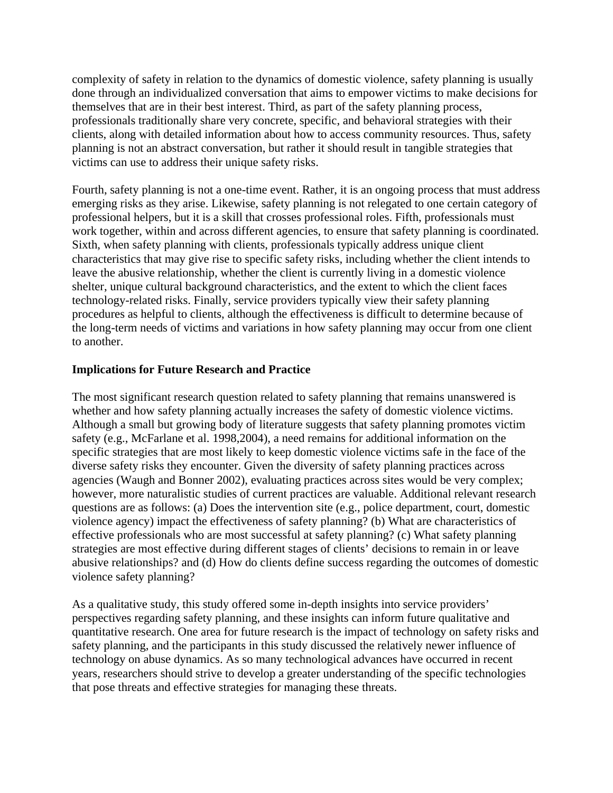complexity of safety in relation to the dynamics of domestic violence, safety planning is usually done through an individualized conversation that aims to empower victims to make decisions for themselves that are in their best interest. Third, as part of the safety planning process, professionals traditionally share very concrete, specific, and behavioral strategies with their clients, along with detailed information about how to access community resources. Thus, safety planning is not an abstract conversation, but rather it should result in tangible strategies that victims can use to address their unique safety risks.

Fourth, safety planning is not a one-time event. Rather, it is an ongoing process that must address emerging risks as they arise. Likewise, safety planning is not relegated to one certain category of professional helpers, but it is a skill that crosses professional roles. Fifth, professionals must work together, within and across different agencies, to ensure that safety planning is coordinated. Sixth, when safety planning with clients, professionals typically address unique client characteristics that may give rise to specific safety risks, including whether the client intends to leave the abusive relationship, whether the client is currently living in a domestic violence shelter, unique cultural background characteristics, and the extent to which the client faces technology-related risks. Finally, service providers typically view their safety planning procedures as helpful to clients, although the effectiveness is difficult to determine because of the long-term needs of victims and variations in how safety planning may occur from one client to another.

#### **Implications for Future Research and Practice**

The most significant research question related to safety planning that remains unanswered is whether and how safety planning actually increases the safety of domestic violence victims. Although a small but growing body of literature suggests that safety planning promotes victim safety (e.g., McFarlane et al. 1998,2004), a need remains for additional information on the specific strategies that are most likely to keep domestic violence victims safe in the face of the diverse safety risks they encounter. Given the diversity of safety planning practices across agencies (Waugh and Bonner 2002), evaluating practices across sites would be very complex; however, more naturalistic studies of current practices are valuable. Additional relevant research questions are as follows: (a) Does the intervention site (e.g., police department, court, domestic violence agency) impact the effectiveness of safety planning? (b) What are characteristics of effective professionals who are most successful at safety planning? (c) What safety planning strategies are most effective during different stages of clients' decisions to remain in or leave abusive relationships? and (d) How do clients define success regarding the outcomes of domestic violence safety planning?

As a qualitative study, this study offered some in-depth insights into service providers' perspectives regarding safety planning, and these insights can inform future qualitative and quantitative research. One area for future research is the impact of technology on safety risks and safety planning, and the participants in this study discussed the relatively newer influence of technology on abuse dynamics. As so many technological advances have occurred in recent years, researchers should strive to develop a greater understanding of the specific technologies that pose threats and effective strategies for managing these threats.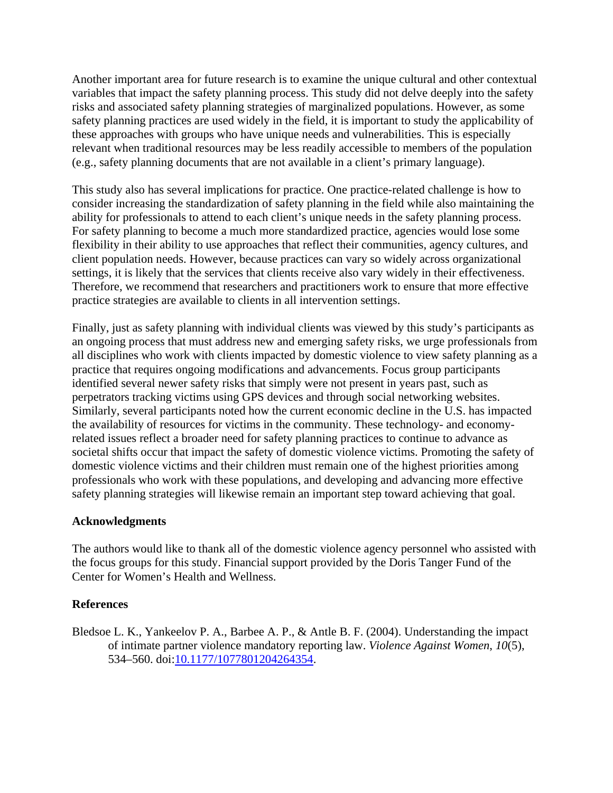Another important area for future research is to examine the unique cultural and other contextual variables that impact the safety planning process. This study did not delve deeply into the safety risks and associated safety planning strategies of marginalized populations. However, as some safety planning practices are used widely in the field, it is important to study the applicability of these approaches with groups who have unique needs and vulnerabilities. This is especially relevant when traditional resources may be less readily accessible to members of the population (e.g., safety planning documents that are not available in a client's primary language).

This study also has several implications for practice. One practice-related challenge is how to consider increasing the standardization of safety planning in the field while also maintaining the ability for professionals to attend to each client's unique needs in the safety planning process. For safety planning to become a much more standardized practice, agencies would lose some flexibility in their ability to use approaches that reflect their communities, agency cultures, and client population needs. However, because practices can vary so widely across organizational settings, it is likely that the services that clients receive also vary widely in their effectiveness. Therefore, we recommend that researchers and practitioners work to ensure that more effective practice strategies are available to clients in all intervention settings.

Finally, just as safety planning with individual clients was viewed by this study's participants as an ongoing process that must address new and emerging safety risks, we urge professionals from all disciplines who work with clients impacted by domestic violence to view safety planning as a practice that requires ongoing modifications and advancements. Focus group participants identified several newer safety risks that simply were not present in years past, such as perpetrators tracking victims using GPS devices and through social networking websites. Similarly, several participants noted how the current economic decline in the U.S. has impacted the availability of resources for victims in the community. These technology- and economyrelated issues reflect a broader need for safety planning practices to continue to advance as societal shifts occur that impact the safety of domestic violence victims. Promoting the safety of domestic violence victims and their children must remain one of the highest priorities among professionals who work with these populations, and developing and advancing more effective safety planning strategies will likewise remain an important step toward achieving that goal.

#### **Acknowledgments**

The authors would like to thank all of the domestic violence agency personnel who assisted with the focus groups for this study. Financial support provided by the Doris Tanger Fund of the Center for Women's Health and Wellness.

#### **References**

Bledsoe L. K., Yankeelov P. A., Barbee A. P., & Antle B. F. (2004). Understanding the impact of intimate partner violence mandatory reporting law. *Violence Against Women*, *10*(5), 534–560. doi:10.1177/1077801204264354.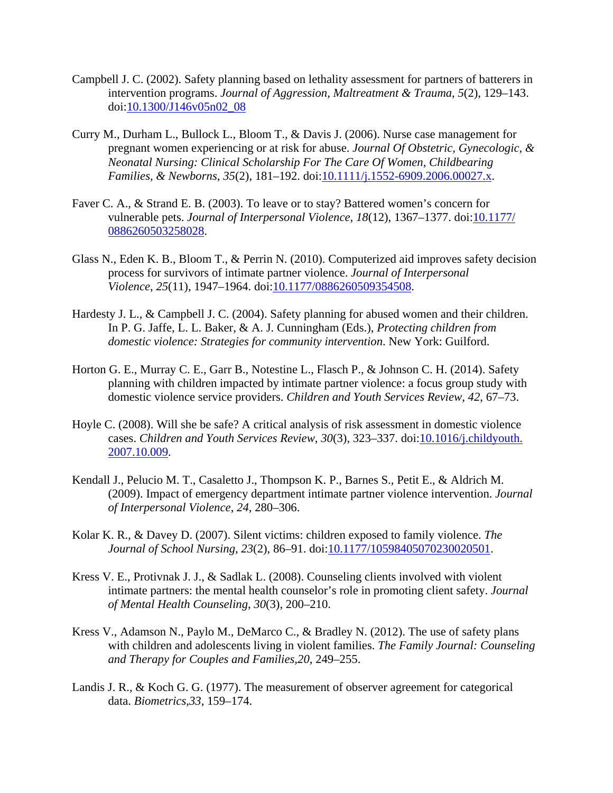- Campbell J. C. (2002). Safety planning based on lethality assessment for partners of batterers in intervention programs. *Journal of Aggression, Maltreatment & Trauma*, *5*(2), 129–143. doi:10.1300/J146v05n02\_08
- Curry M., Durham L., Bullock L., Bloom T., & Davis J. (2006). Nurse case management for pregnant women experiencing or at risk for abuse. *Journal Of Obstetric, Gynecologic, & Neonatal Nursing: Clinical Scholarship For The Care Of Women, Childbearing Families, & Newborns*, *35*(2), 181–192. doi:10.1111/j.1552-6909.2006.00027.x.
- Faver C. A., & Strand E. B. (2003). To leave or to stay? Battered women's concern for vulnerable pets. *Journal of Interpersonal Violence*, *18*(12), 1367–1377. doi:10.1177/ 0886260503258028.
- Glass N., Eden K. B., Bloom T., & Perrin N. (2010). Computerized aid improves safety decision process for survivors of intimate partner violence. *Journal of Interpersonal Violence*, *25*(11), 1947–1964. doi:10.1177/0886260509354508.
- Hardesty J. L., & Campbell J. C. (2004). Safety planning for abused women and their children. In P. G. Jaffe, L. L. Baker, & A. J. Cunningham (Eds.), *Protecting children from domestic violence: Strategies for community intervention*. New York: Guilford.
- Horton G. E., Murray C. E., Garr B., Notestine L., Flasch P., & Johnson C. H. (2014). Safety planning with children impacted by intimate partner violence: a focus group study with domestic violence service providers. *Children and Youth Services Review*, *42*, 67–73.
- Hoyle C. (2008). Will she be safe? A critical analysis of risk assessment in domestic violence cases. *Children and Youth Services Review*, *30*(3), 323–337. doi:10.1016/j.childyouth. 2007.10.009.
- Kendall J., Pelucio M. T., Casaletto J., Thompson K. P., Barnes S., Petit E., & Aldrich M. (2009). Impact of emergency department intimate partner violence intervention. *Journal of Interpersonal Violence*, *24*, 280–306.
- Kolar K. R., & Davey D. (2007). Silent victims: children exposed to family violence. *The Journal of School Nursing*, *23*(2), 86–91. doi:10.1177/10598405070230020501.
- Kress V. E., Protivnak J. J., & Sadlak L. (2008). Counseling clients involved with violent intimate partners: the mental health counselor's role in promoting client safety. *Journal of Mental Health Counseling*, *30*(3), 200–210.
- Kress V., Adamson N., Paylo M., DeMarco C., & Bradley N. (2012). The use of safety plans with children and adolescents living in violent families. *The Family Journal: Counseling and Therapy for Couples and Families*,*20*, 249–255.
- Landis J. R., & Koch G. G. (1977). The measurement of observer agreement for categorical data. *Biometrics*,*33*, 159–174.